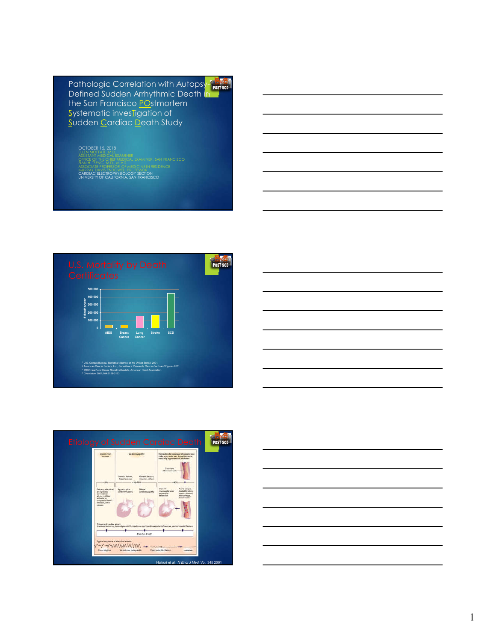Pathologic Correlation with Autopsy-Defined Sudden Arrhythmic Death in the San Francisco POstmortem Systematic inves**Tigation** of Sudden Cardiac Death Study

### OCTOBER 15, 2018 ELLEN MOFFATT, M.D.

OFFICE OF THE CHIEF MEDICAL EXAMINER, SAN FRANCISCO ZIAN H. TSENG, M.D., M.A.S.<br>ASSOCIATE PROFESSOR OF MEDICINE IN RESIDENCE MURRAY DAVIS ENDOWED PROFESSOR CARDIAC ELECTROPHYSIOLOGY SECTION UNIVERSITY OF CALIFORNIA, SAN FRANCISCO







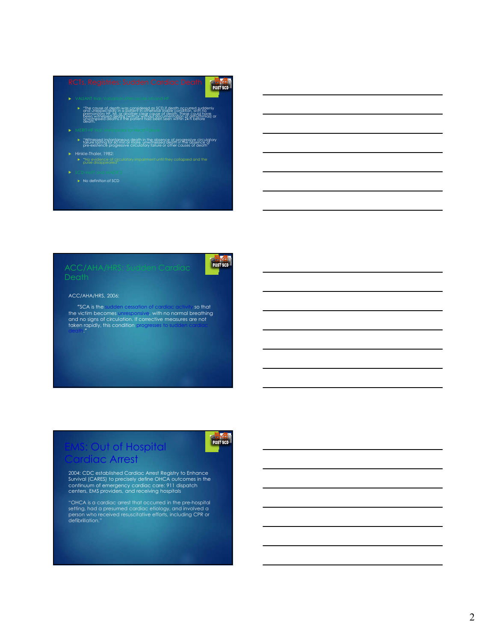# POST SCD

#### VALIANT trial: Valsartan after acute MI and HF

- "The cause of death was considered as SCD if death occurred suddenly<br>and unexpectedly in a policini in otherwise stable condition, with no<br>premonitory H. M.I. or gnother clear cause of death, these could have<br>been writesse
- MERIT-HF trial: Metoprolol for Heart Failure
	- "Witnessed instantaneous death in the absence of progressive circulatory failure lasting for 60 min or more, unwitnessed death in the absence of pre-existence progressive circulatory failure or other causes of death"
- -
- SCD-HeFT and MADIT2 ► No definition of SCD

# **POST SCD**

#### ACC/AHA/HRS, 2006:

"SCA is the sudden cessation of cardiac activity so that<br>the victim becomes unresponsive, with no normal breathing<br>and no signs of circulation. If corrective measures are not<br>taken rapidly, this condition progresses to su

# **COUT of Hospital Irdiac Arrest**

POST SCD

2004: CDC established Cardiac Arrest Registry to Enhance Survival (CARES) to precisely define OHCA outcomes in the continuum of emergency cardiac care: 911 dispatch centers, EMS providers, and receiving hospitals

"OHCA is a cardiac arrest that occurred in the pre-hospital setting, had a presumed cardiac etiology, and involved a person who received resuscitative efforts, including CPR or defibrillation."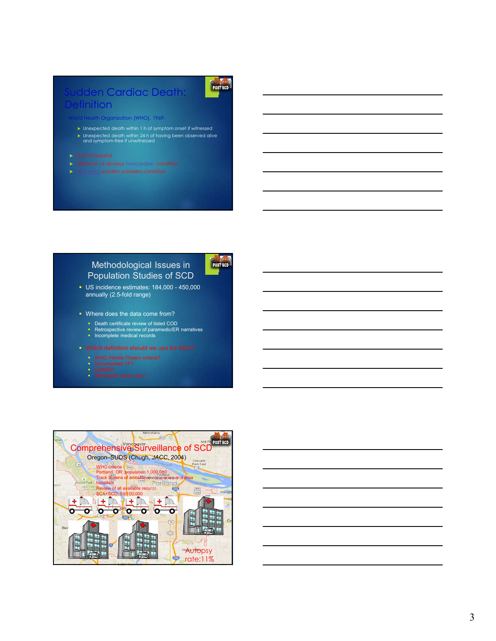### n Cardiac Death **nition**

th Organization (WHO), 1969:

- Unexpected death within 1 h of symptom onset if witnessed
- Unexpected death within 24 h of having been observed alive and symptom-free if unwitnessed
- 
- Absence of obvious noncardiac condition
- 

### Methodological Issues in Population Studies of SCD



POST SCD

- US incidence estimates: 184,000 450,000 annually (2.5-fold range)
- **Where does the data come from?** 
	- **Death certificate review of listed COD**
	- Retrospective review of paramedic/ER narratives Incomplete medical records
	-
- Which definition should we use for SCD?
	-
	- Documented VF? CARES?
	-

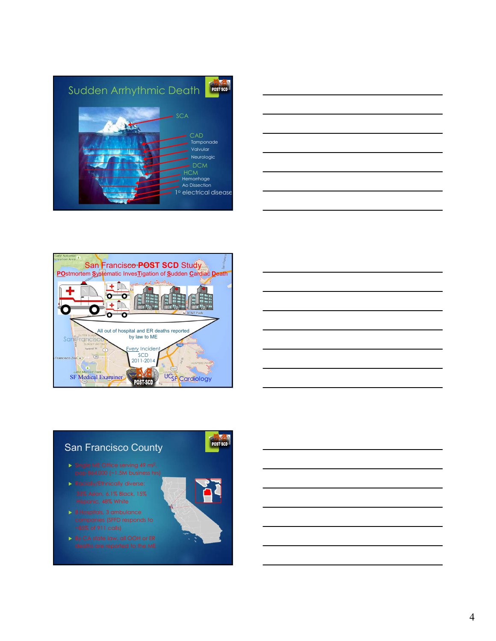







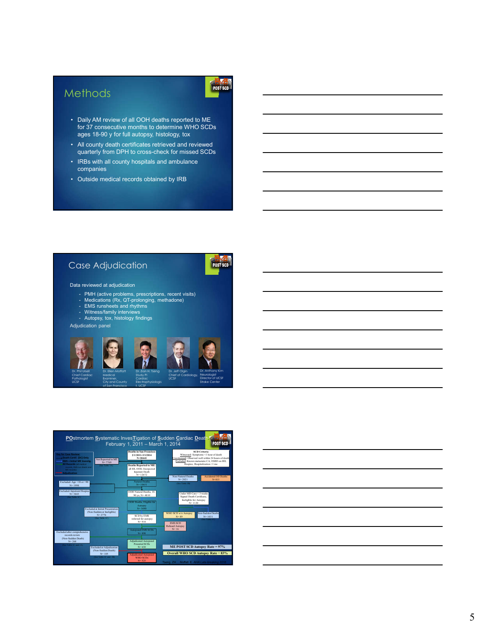## **Methods**

# POST SCD

- Daily AM review of all OOH deaths reported to ME for 37 consecutive months to determine WHO SCDs ages 18-90 y for full autopsy, histology, tox
- All county death certificates retrieved and reviewed quarterly from DPH to cross-check for missed SCDs
- IRBs with all county hospitals and ambulance companies
- Outside medical records obtained by IRB

### Case Adjudication

# POST SCD

#### Data reviewed at adjudication

- PMH (active problems, prescriptions, recent visits) Medications (Rx, QT-prolonging, methadone) EMS runsheets and rhythms Witness/family interviews Autopsy, tox, histology findings
- 
- 
- 

of San Francisco

Adjudication panel



t, UCSF



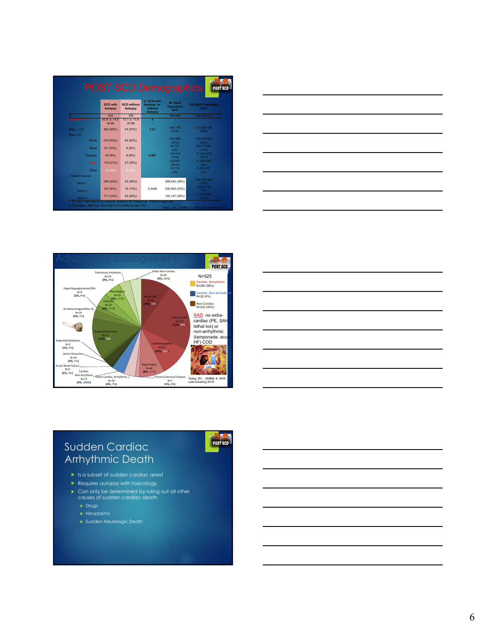|               | <b>SCD with</b><br><b>Autopsy</b> | <b>SCD</b> without<br><b>Autopsy</b> | p* SCD with<br>Autopsy vs.<br>without | <b>SF Adult</b><br>Population<br>2011 | <b>US Adult Population</b><br>2011 |
|---------------|-----------------------------------|--------------------------------------|---------------------------------------|---------------------------------------|------------------------------------|
|               | 525                               | 105                                  | <b>Autopsy</b>                        | 690.689                               | 232.556.019                        |
| Age, mean ±SD | $628 + 145$                       | $731 + 116$                          | $\mathbf{0}$                          |                                       |                                    |
|               | 18-90                             | 37-89                                |                                       |                                       |                                    |
| Male, n (%)   | 362 (69%)                         | 74 (70%)                             | 0.82                                  | 350.179                               | 112.848.136                        |
|               |                                   |                                      |                                       | (51%)                                 | (49%)                              |
| Race (%)      |                                   |                                      |                                       |                                       |                                    |
| White         | 279 (53%)                         | 44 (42%)                             |                                       | 290.089<br>(42%)                      | 149.300.964<br>(64%)               |
|               |                                   |                                      |                                       | 40.751                                | 28.371.834                         |
| <b>Black</b>  | 81 (15%)                          | 8(8%)                                |                                       | (6%)                                  | (12%)                              |
| Hispanic      | 40 (8%)                           | 8(8%)                                | 0.001                                 | 102.913                               | 37.441.519                         |
|               |                                   |                                      |                                       | (15%)                                 | (16%)                              |
| Asian         | 110 (21%)                         | 37 (35%)                             |                                       | 232762                                | 11 395 245                         |
|               |                                   |                                      |                                       | (34%)<br>24.174                       | (5%)<br>6.046.457                  |
| Other         | 15 (3%)                           | 8(8%)                                |                                       | (3%)                                  | (3%)                               |
| Median Income |                                   |                                      |                                       |                                       |                                    |
|               | 248 (50%)                         | 43 (45%)                             |                                       | 266,642 (39%)                         | 184.288.905                        |
| Tertile 1     |                                   |                                      |                                       |                                       | (79%)                              |
|               | 82 (16%)                          | 14 (13%)                             | 0.3446                                | 230,900 (33%)                         | 16.631.720                         |
| Tertile 2     |                                   |                                      |                                       |                                       | (7%)<br>31.635.394                 |
| Tertile 3     | 171 (34%)                         | 43 (42%)                             |                                       | 193, 147 (28%)                        | (14%)                              |





**POST SCD** 



## Sudden Cardiac Arrhythmic Death

- Is a subset of sudden cardiac arrest
- **Requires autopsy with toxicology**
- Can only be determined by ruling out all other causes of sudden cardiac death
	-
	- $\blacktriangleright$  Neoplasms
	- Sudden Neurologic Death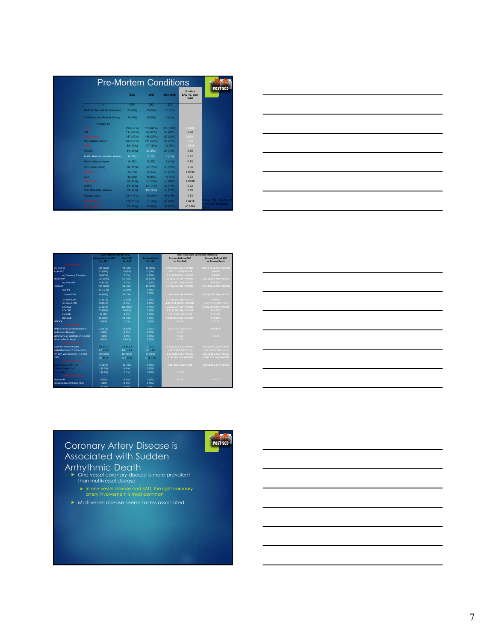|                                 |            |           |           | P value                    |
|---------------------------------|------------|-----------|-----------|----------------------------|
|                                 | <b>SCD</b> | SAD       | Non-SAD   | SAD vs. non-<br><b>SAD</b> |
| N                               | 525        | 293       | 232       |                            |
| Medical Records Unobtainable    | 33 (6%)    | 15 (5%)   | 18 (8%)   |                            |
| Confirmed No Medical History    | 24 (5%)    | 15 (5%)   | 9(4%)     |                            |
| <b>History of:</b>              |            |           |           |                            |
| <b>HTN</b>                      | 290 (55%)  | 175 (60%) | 116 (50%) | 0.0260                     |
| <b>DM</b>                       | 117 (22%)  | 72 (24%)  | 46 (20%)  | 0.20                       |
| Dyslipidemia                    | 157 (30%)  | 108 (37%) | 50 (22%)  | 0.0001                     |
| Any cardiac history             | 224 (43%)  | 131 (45%) | 93 (40%)  | 0.29                       |
| CHF                             | 68 (13%)   | 47 (16%)  | 21 (9%)   | 0.0179                     |
| AF/AFL                          | 54 (10%)   | 27 (9%)   | 24 (10%)  | 0.66                       |
| Aortic stenosis (mod or severe) | 6(1%)      | 2(1%)     | 3(1%)     | 0.47                       |
| Mitral valve prolapse           | 8(2%)      | 5(2%)     | 3(1%)     | 0.70                       |
| CKD (non ESRD)                  | 58 (11%)   | 33 (11%)  | 25 (10%)  | 0.86                       |
| <b>Seizures</b>                 | 39 (7%)    | 14 (5%)   | 25 (11%)  | 0.0093                     |
| <b>CVA</b>                      | 33 (6%)    | 18 (6%)   | 16 (7%)   | 0.73                       |
| Depression                      | 93 (18%)   | 37 (13%)  | 56 (24%)  | 0.0006                     |
| COPD                            | 64 (12%)   | 32 (11%)  | 32 (14%)  | 0.32                       |
| Non-Metastatic Cancer           | 63 (12%)   | 40 (14%)  | 23 (10%)  | 0.18                       |
| <b>Tobacco Use</b>              | 211 (40%)  | 115 (39%) | 96 (42%)  | 0.62                       |
| <b>Alcohol Abuse</b>            | 122 (23%)  | 57 (19%)  | 65 (28%)  | 0.0210                     |
| <b>Illicit Drug Use</b>         | 79 (15%)   | 27 (9%)   | 52 (22%)  | 0.0001                     |



|                                              | WHO-Defined SCD (N = 525)             |             | Odds Ratio (95% Confidence Interval: p* |                                                          |                             |  |
|----------------------------------------------|---------------------------------------|-------------|-----------------------------------------|----------------------------------------------------------|-----------------------------|--|
|                                              | <b>Autopsy-Defined SAD</b><br>Non-SAD |             | <b>Trauma Death</b>                     | <b>Autopsy-Defined SAD</b><br><b>Autopsy-Defined SAD</b> |                             |  |
|                                              | $N = 293$                             | $N = 232$   | $N = 104$                               | vs. Non-SAD                                              | vs. Trauma Death            |  |
| <b>Coronary Disease</b>                      |                                       |             |                                         |                                                          |                             |  |
| Any Infarct                                  | 176 (60%)                             | 74 (32%)    | 16 (15%)                                | 2.90 (1.98-4.26): P<0.0005                               | 6.84 (3.72-12.57): P<0.0005 |  |
| <b>Acute MI*</b>                             | 52 (18%)                              | 19 (8%)     | 1 (1%)                                  | 1.97 (1.11-3.50): P=0.02                                 | P<0.001                     |  |
| w/Coronary Thrombus                          | 36 (12%)                              | 7 (3%)      | 0(0%                                    | 3.81 (1.64-8.82): P=0.002                                | P<0.001                     |  |
| <b>Healed MI*</b>                            | 159 (54%)                             | 61 (26%)    | 16 (15%)                                | 3.13 (2.12-4.62): P<0.0005                               | 5.17 (2.82-9.46): P<0.005   |  |
| w/ Acute MI                                  | 35 (12%)                              | 6 (3%)      | 1 (1%)                                  | 4.31 (1.76-10.56): P=0.001                               | $P = 0.0002$                |  |
| <b>fotal CAD</b>                             | 175 (60%)                             | 58 (25%)    | 15 (14%)                                | 4.37 (2.93-6.50): P<0.0005                               | 7.15 (3.82-13.40): P<0.0005 |  |
| w/o MI                                       | 33 (11.26)                            | 13 (6%)     | 4 (4%)                                  |                                                          |                             |  |
| 1 Vessel CAD                                 | 84 (29%)                              | 30 (13%)    | 7 (7%)                                  | 2.70 (1.68-4.34): P<0.0005                               | 4.24 (1.85-9.70): P=0.001   |  |
| 2 Vessel CAD                                 | 51 (17%)                              | 22 (9%)     | 2 (2%)                                  | 1.91 (1.10-3.30): P=0.021                                | P < 0.001                   |  |
| 3+ Vessel CAD                                | 40 (14%)                              | 6 (3%)      | 6 (6%)                                  | 4.98 (2.04-12.14): P<0.0005                              | 1.79 (0.72-4.49): P=0.21    |  |
| LAD CAD                                      | 31 (14%)                              | 105 (36%)   | 9(9%)                                   | 3.23 (2.03-5.14): P<0.0005                               | 4.64 (2.20-9.80); P<0.0005  |  |
| <b>ICYCAD</b>                                | 57 (20%)                              | 20 (9%)     | 5 (5%)                                  | 2.21 (1.26-3.86): P=0.005                                | P=0.0002                    |  |
| <b>IMCAD</b>                                 | 17 (6%)                               | 4 (2%)      | 2 (2%)                                  | 1.72 (0.99-3.00): P=0.06                                 | P=0.1773                    |  |
| <b>RCA CAD</b>                               | 85 (30%)                              | 23 (10%)    | 4(4%)                                   | 3.60 (2.15-6.03): P<0.0005                               | Pc0.0001                    |  |
| <b>VIINOCA</b>                               | 8 (3%)                                | 2 (1%)      | 0(0%                                    | $P = 0.20$                                               | $P = 0.12$                  |  |
| <b>Valve Disease</b>                         |                                       |             |                                         |                                                          |                             |  |
| Aortic Valve Calcification (severe)          | 32 (11%)                              | 16 (7%)     | 1 (1%)                                  | 1.46 (0.75-2.84): P=0.27                                 | P=0.0007                    |  |
| <b>Aortic Valve Bicuspid</b>                 | 2 (1%)                                | 0 (0%)      | 0(0%                                    | $P = 0.51$                                               |                             |  |
| <b>Vitral Annular Calcification (severe)</b> | 4 (1%)                                | 0 (0%)      | 0(0%                                    | $P = 0.13$                                               | $P = 0.58$                  |  |
| <b>Mitral Valve Prolapse</b>                 | 0(0%                                  | 1(0.4%)     | 0(0%                                    | $P = 0.25$                                               |                             |  |
| LV Measurements                              |                                       |             |                                         |                                                          |                             |  |
| Short Axis Diameter (cm)                     | $2.8 + 1.3$                           | $2.3 + 1.3$ | $1.9 + 1.1$                             | 1.30 (1.11-1.51): P=0.001                                | 1.81 (1.42-2.3): P<0.0005   |  |
| septal (Compact) Thickness (cm)              | $1.7 + 0.4$                           | $1.6 + 0.5$ | $1.6 + 0.4$                             | 1.38 (0.90-2.09); P=0.14                                 | 1.55 (0.85-2.82); P=0.16    |  |
| VH (any wall thickness > 1.5 cm)             | 191 (65%)                             | 124 (53%)   | 50 (48%)                                | 1.83 (1.26-2.66): P=0.001                                | 2.21 (1.36-3.61): P=0.001   |  |
| VMI                                          | $86 + 46$                             | $67.4 + 46$ | $52 + 34.8$                             | 1.01 (1.00-1.01): P<0.0005                               | 1.03 (1.02-1.04): P<0.0005  |  |
| <b>Other Gross Findings</b>                  |                                       |             |                                         |                                                          |                             |  |
| Aorta Plaques ≥ 75% ISA                      | 71 (27%)                              | 41 (20%)    | 8 (8%)                                  | 1.32 (0.82-2.11): P=.025                                 | 3.20 (1.39-7.37): P=0.006   |  |
| V Non-compaction                             | 1(0.3%                                | 0 (0%)      | 0(0%                                    |                                                          |                             |  |
| Pericarditis                                 | 1 (0.3%)                              | 2 (1%)      | 0(0%                                    | $P = 0.58$                                               |                             |  |
| <b>Ilstologic Findings</b>                   |                                       |             |                                         |                                                          |                             |  |
| Wyocarditis                                  | 5 (2%)                                | 0 (0%)      | 0(0%                                    | $P = 0.16$                                               | $P = 0.22$                  |  |
| <b>Histologically Confirmed HCM</b>          | 4 (1%)                                | 0 (0%)      | 0(0%                                    |                                                          |                             |  |
|                                              | $+10.980$                             | o room      | <b>A FAMILY</b>                         |                                                          |                             |  |

# Coronary Artery Disease is Associated with Sudden

- Arrhythmic Death One vessel coronary disease is more prevalent than multivessel disease
	- In one vessel disease and SAD, the right coronary artery involvement is most common

POST SCD

**Multi vessel disease seems to less associated**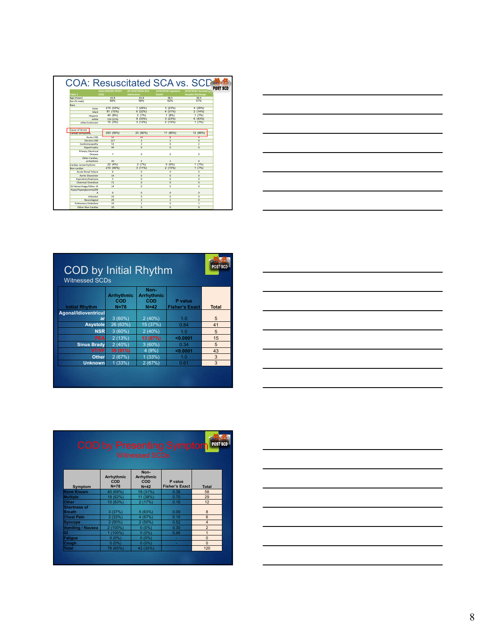|                            |                    |                   |                            | <b>COA: Resuscitated SCA vs. SCD</b>            |
|----------------------------|--------------------|-------------------|----------------------------|-------------------------------------------------|
|                            | Died OOH/ED (POST- | All UCSF/SFGH SCA | <b>UCSF/SFGH Inpatient</b> | <b>POST SCD</b><br><b>UCSF/SFGH Survival to</b> |
| Table 1                    | SCD)               | <b>Admissions</b> | <b>Death</b>               | <b>Hospital Discharge</b>                       |
| Age (mean)                 | 62.8               | 63.8              | 685                        | 60.4                                            |
| Sex (% male)               | 69%                | 59%               | 62%                        | 57%                                             |
| Race                       |                    |                   |                            |                                                 |
| Asian                      | 279 (53%)          | 7(26%)            | 3(23%)                     | 4 (29%)                                         |
| black                      | 81 (15%)           | 6(22%)            | 4 (31%)                    | 2(14%)                                          |
| Hispanic                   | 40 (8%)            | 2(7%)             | 1(8%)                      | 1(7%)                                           |
| white                      | 110 (21%)          | 9(33%)            | 3(23%)                     | 6(43%)                                          |
| other/unknown              | 15(3%)             | 3(12%)            | 2 (15%)                    | 1(7%)                                           |
| Cause of Arrest            |                    |                   |                            |                                                 |
| Cardiac-arrhythmic         | 293 (56%)          | 23 (82%)          | 11 (85%)                   | 12 (86%)                                        |
| Acute CAD                  | ₩                  | T4                | τ                          | w                                               |
| Chronic CAD                | 117                | $\overline{2}$    | $\overline{2}$             | $\Omega$                                        |
| Cardiomyopathy             | 53                 | $\overline{2}$    | $\circ$                    | $\overline{2}$                                  |
| Hypertrophy                | 44                 | $\mathbf{0}$      | $\mathbf{0}$               | $\mathbf{0}$                                    |
| Primary Electrical         |                    |                   |                            |                                                 |
| Disease                    | $\overline{7}$     | $\mathbf 0$       | $\circ$                    | $\mathbf 0$                                     |
| Other Cardiac.             |                    |                   |                            |                                                 |
| arrhythmic                 | 20                 | 5                 | $\mathbf{1}$               | 4                                               |
| Cardiac-nonarrhythmic      | 22(4%)             | 2(7%)             | $0(0\%)$                   | 1(7%)                                           |
| Non-cardiac                | 210 (40%)          | $3(11\%)$         | 2(15%)                     | 1(7%)                                           |
| <b>Acute Renal Failure</b> | 6.                 | $\Omega$          | $\Omega$                   | $\Omega$                                        |
| Aortic Dissection          | 14                 | $\mathbf{0}$      | $\mathbf{0}$               | $\mathbf{0}$                                    |
| Aspiration/Asphyxia        | 5                  | $\overline{0}$    | $\Omega$                   | $\overline{0}$                                  |
| Chemical Overdose          | 71                 | $\mathbf{0}$      | $\mathbf{0}$               | $\mathbf{0}$                                    |
| GI Hemorrhage/Other GI     | 14                 | $\mathbf 0$       | $\mathbf 0$                | $\mathbf 0$                                     |
| Hypo/Hyperglycemia/DK      |                    |                   |                            |                                                 |
| $\Delta$                   | $\overline{9}$     | $\mathbf{0}$      | $\mathbf{0}$               | $\mathbf{0}$                                    |
| Infection                  | $\overline{23}$    | $\mathbf 0$       | $\mathbf{0}$               | $\mathbf 0$                                     |
| Neurological               | 29                 | $\overline{2}$    | $\overline{2}$             | $\mathbf{0}$                                    |
| Pulmonary Embolism         | 19                 | $\overline{1}$    | $\Omega$                   | $\overline{1}$                                  |
| Other Non-Cardiac          | 20                 | $\Omega$          | $\Omega$                   | $\Omega$                                        |

|  | ___ |
|--|-----|
|  |     |
|  |     |

| <b>COD by Initial Rhythm</b><br><b>Witnessed SCDs</b> |                                             |                                            |                                  | <b>POST SCD</b> |
|-------------------------------------------------------|---------------------------------------------|--------------------------------------------|----------------------------------|-----------------|
| <b>Initial Rhythm</b>                                 | <b>Arrhythmic</b><br><b>COD</b><br>$N = 78$ | Non-<br><b>Arrhythmic</b><br>COD<br>$N=42$ | P value<br><b>Fisher's Exact</b> | <b>Total</b>    |
| <b>Agonal/Idioventricul</b>                           |                                             |                                            |                                  |                 |
| ar                                                    | 3(60%)                                      | 2(40%)                                     | 1.0                              | 5               |
| <b>Asystole</b>                                       | 26 (63%)                                    | 15 (37%)                                   | 0.84                             | 41              |
| <b>NSR</b>                                            | 3(60%)                                      | 2(40%)                                     | 1.0                              | 5               |
| <b>PEA</b>                                            | 2(13%)                                      | 13 (87%)                                   | < 0.0001                         | 15              |
| <b>Sinus Brady</b>                                    | 2(40%)                                      | 3(60%)                                     | 0.34                             | 5               |
| <b>VT/VF</b>                                          | 39 (91%)                                    | 4(9%)                                      | < 0.0001                         | 43              |
| <b>Other</b>                                          | 2(67%)                                      | 1(33%)                                     | 1.0                              | 3               |
| <b>Unknown</b>                                        | 1(33%)                                      | 2(67%)                                     | 0.61                             | 3               |
|                                                       |                                             |                                            |                                  |                 |

| the control of the control of the control of the control of the control of the control of the control of the control of the control of the control of the control of the control of the control of the control of the control |  |
|-------------------------------------------------------------------------------------------------------------------------------------------------------------------------------------------------------------------------------|--|
|                                                                                                                                                                                                                               |  |
|                                                                                                                                                                                                                               |  |
|                                                                                                                                                                                                                               |  |
|                                                                                                                                                                                                                               |  |
|                                                                                                                                                                                                                               |  |
|                                                                                                                                                                                                                               |  |
|                                                                                                                                                                                                                               |  |
|                                                                                                                                                                                                                               |  |
|                                                                                                                                                                                                                               |  |
|                                                                                                                                                                                                                               |  |
|                                                                                                                                                                                                                               |  |
|                                                                                                                                                                                                                               |  |

|                                      |                               | <b>Witnessed SCDs</b>               | <b>COD by Presenting Symptom</b> | POST SCD                |  |
|--------------------------------------|-------------------------------|-------------------------------------|----------------------------------|-------------------------|--|
| Symptom                              | Arrhythmic<br>COD<br>$N = 78$ | Non-<br>Arrhythmic<br>COD<br>$N=42$ | P value<br><b>Fisher's Exact</b> | <b>Total</b>            |  |
| <b>None Known</b>                    | 40 (69%)                      | 18 (31%)                            | 0.38                             | 58                      |  |
| <b>Multiple</b>                      | 18 (62%)                      | 11 (38%)                            | 0.70                             | 29                      |  |
| Other                                | 10 (83%)                      | 2(17%)                              | 0.16                             | 12                      |  |
| <b>Shortness of</b><br><b>Breath</b> | 3(37%)                        | 5(63%)                              | 0.09                             | $\mathbf{8}$            |  |
| <b>Chest Pain</b>                    | 2(33%)                        | 4 (67%)                             | 0.10                             | $6\overline{6}$         |  |
| <b>Syncope</b>                       | 2(50%)                        | 2(50%)                              | 0.52                             | $\overline{\mathbf{4}}$ |  |
| <b>Vomiting / Nausea</b>             | 2(100%)                       | $0(0\%)$                            | 0.30                             | $\overline{a}$          |  |
| GI                                   | 1 (100%)                      | $0(0\%)$                            | 0.46                             | $\overline{1}$          |  |
| <b>Fatigue</b>                       | $0(0\%)$                      | $0(0\%)$                            |                                  | $\Omega$                |  |
| Cough                                | $0(0\%)$                      | $0(0\%)$                            | ٠                                | $\Omega$                |  |
| <b>Total</b>                         | 78 (65%)                      | 42 (35%)                            |                                  | 120                     |  |